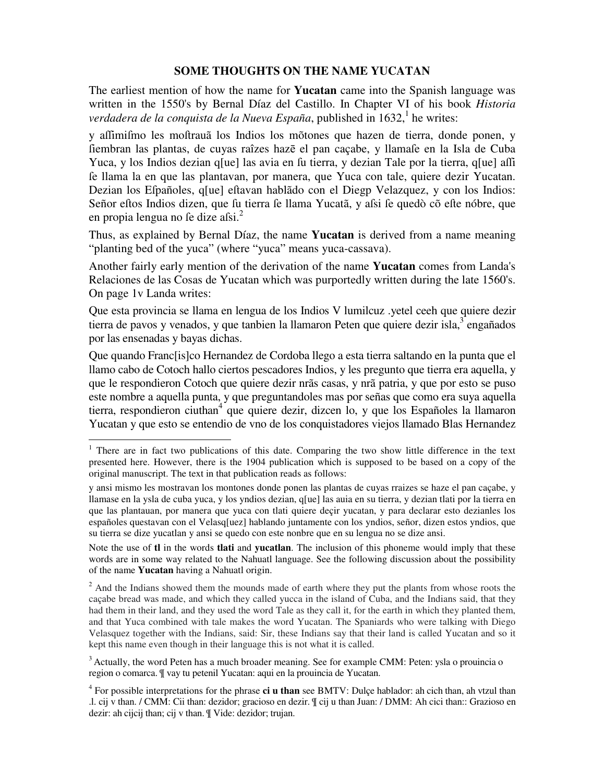## **SOME THOUGHTS ON THE NAME YUCATAN**

The earliest mention of how the name for **Yucatan** came into the Spanish language was written in the 1550's by Bernal Díaz del Castillo. In Chapter VI of his book *Historia*  verdadera de la conquista de la Nueva España, published in 1632,<sup>1</sup> he writes:

y affimifmo les moftrauã los Indios los mõtones que hazen de tierra, donde ponen, y ſiembran las plantas, de cuyas raîzes hazē el pan caçabe, y llamaſe en la Isla de Cuba Yuca, y los Indios dezian q[ue] las avia en fu tierra, y dezian Tale por la tierra, q[ue] affi ſe llama la en que las plantavan, por manera, que Yuca con tale, quiere dezir Yucatan. Dezian los Efpañoles, q[ue] eftavan hablãdo con el Diegp Velazquez, y con los Indios: Señor eftos Indios dizen, que su tierra se llama Yucatã, y assi se quedò cõ efte nóbre, que en propia lengua no fe dize afsi. $^{2}$ 

Thus, as explained by Bernal Díaz, the name **Yucatan** is derived from a name meaning "planting bed of the yuca" (where "yuca" means yuca-cassava).

Another fairly early mention of the derivation of the name **Yucatan** comes from Landa's Relaciones de las Cosas de Yucatan which was purportedly written during the late 1560's. On page 1v Landa writes:

Que esta provincia se llama en lengua de los Indios V lumilcuz .yetel ceeh que quiere dezir tierra de pavos y venados, y que tanbien la llamaron Peten que quiere dezir isla,<sup>3</sup> engañados por las ensenadas y bayas dichas.

Que quando Franc[is]co Hernandez de Cordoba llego a esta tierra saltando en la punta que el llamo cabo de Cotoch hallo ciertos pescadores Indios, y les pregunto que tierra era aquella, y que le respondieron Cotoch que quiere dezir nrãs casas, y nrã patria, y que por esto se puso este nombre a aquella punta, y que preguntandoles mas por señas que como era suya aquella tierra, respondieron ciuthan<sup>4</sup> que quiere dezir, dizcen lo, y que los Españoles la llamaron Yucatan y que esto se entendio de vno de los conquistadores viejos llamado Blas Hernandez

į.

Note the use of **tl** in the words **tlati** and **yucatlan**. The inclusion of this phoneme would imply that these words are in some way related to the Nahuatl language. See the following discussion about the possibility of the name **Yucatan** having a Nahuatl origin.

<sup>2</sup> And the Indians showed them the mounds made of earth where they put the plants from whose roots the caçabe bread was made, and which they called yucca in the island of Cuba, and the Indians said, that they had them in their land, and they used the word Tale as they call it, for the earth in which they planted them, and that Yuca combined with tale makes the word Yucatan. The Spaniards who were talking with Diego Velasquez together with the Indians, said: Sir, these Indians say that their land is called Yucatan and so it kept this name even though in their language this is not what it is called.

 $3$  Actually, the word Peten has a much broader meaning. See for example CMM: Peten: ysla o prouincia o region o comarca. ¶ vay tu petenil Yucatan: aqui en la prouincia de Yucatan.

<sup>&</sup>lt;sup>1</sup> There are in fact two publications of this date. Comparing the two show little difference in the text presented here. However, there is the 1904 publication which is supposed to be based on a copy of the original manuscript. The text in that publication reads as follows:

y ansi mismo les mostravan los montones donde ponen las plantas de cuyas rraizes se haze el pan caçabe, y llamase en la ysla de cuba yuca, y los yndios dezian, q[ue] las auia en su tierra, y dezian tlati por la tierra en que las plantauan, por manera que yuca con tlati quiere deçir yucatan, y para declarar esto dezianles los españoles questavan con el Velasq[uez] hablando juntamente con los yndios, señor, dizen estos yndios, que su tierra se dize yucatlan y ansi se quedo con este nonbre que en su lengua no se dize ansi.

<sup>4</sup> For possible interpretations for the phrase **ci u than** see BMTV: Dulçe hablador: ah cich than, ah vtzul than .l. cij v than. / CMM: Cii than: dezidor; gracioso en dezir. ¶ cij u than Juan: / DMM: Ah cici than:: Grazioso en dezir: ah cijcij than; cij v than. ¶ Vide: dezidor; trujan.